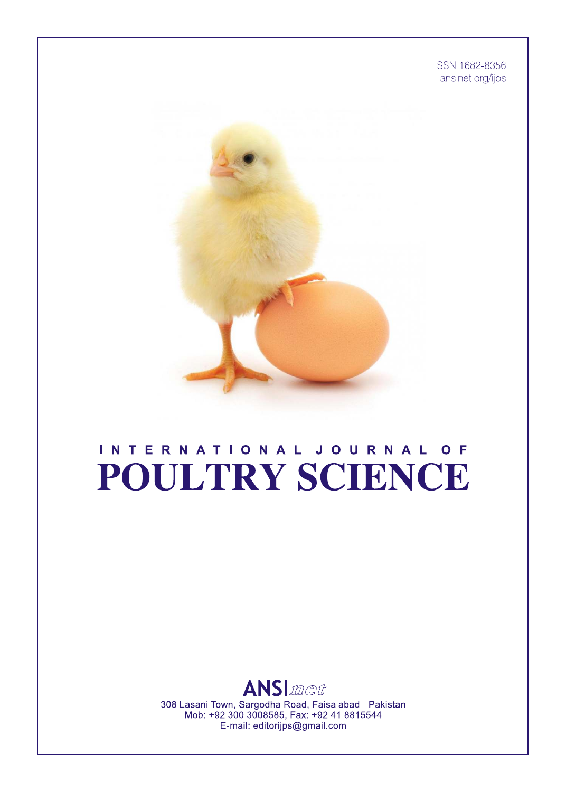ISSN 1682-8356 ansinet.org/ijps



# INTERNATIONAL JOURNAL OF POULTRY SCIENCE



308 Lasani Town, Sargodha Road, Faisalabad - Pakistan Mob: +92 300 3008585, Fax: +92 41 8815544 E-mail: editorijps@gmail.com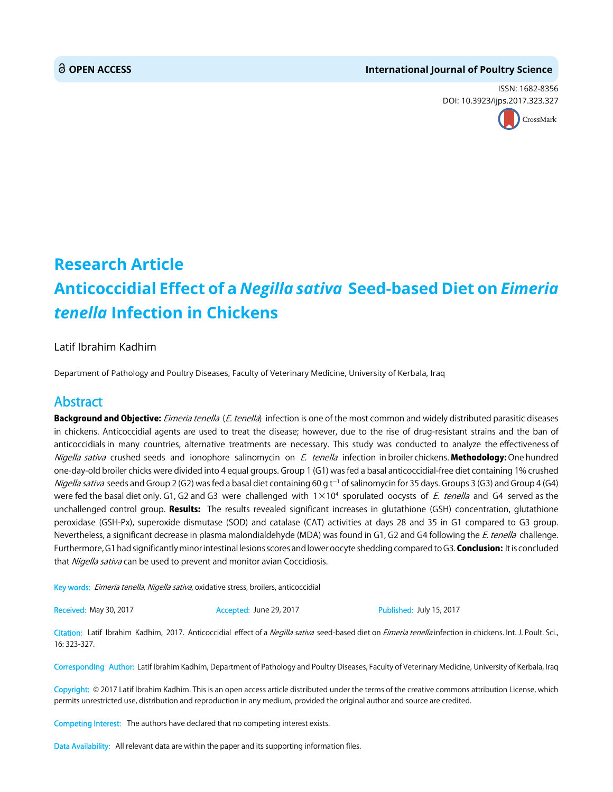### **OPEN ACCESS International Journal of Poultry Science**

ISSN: 1682-8356 DOI: 10.3923[/ijps.2017.323.327](http://crossmark.crossref.org/dialog/?doi=10.3923/ijps.2017.323.327&domain=pdf&date_stamp=2017-07-15)



## **Research Article Anticoccidial Effect of a** *Negilla sativa* **Seed-based Diet on** *Eimeria tenella* **Infection in Chickens**

### Latif Ibrahim Kadhim

Department of Pathology and Poultry Diseases, Faculty of Veterinary Medicine, University of Kerbala, Iraq

## Abstract

Background and Objective: Eimeria tenella (E. tenella) infection is one of the most common and widely distributed parasitic diseases in chickens. Anticoccidial agents are used to treat the disease; however, due to the rise of drug-resistant strains and the ban of anticoccidials in many countries, alternative treatments are necessary. This study was conducted to analyze the effectiveness of Nigella sativa crushed seeds and ionophore salinomycin on E. tenella infection in broiler chickens. Methodology: One hundred one-day-old broiler chicks were divided into 4 equal groups. Group 1 (G1) was fed a basal anticoccidial-free diet containing 1% crushed *Nigella sativa s*eeds and Group 2 (G2) was fed a basal diet containing 60 g t<sup>-1</sup> of salinomycin for 35 days. Groups 3 (G3) and Group 4 (G4) were fed the basal diet only. G1, G2 and G3 were challenged with  $1 \times 10^4$  sporulated oocysts of E. tenella and G4 served as the unchallenged control group. **Results:** The results revealed significant increases in glutathione (GSH) concentration, glutathione peroxidase (GSH-Px), superoxide dismutase (SOD) and catalase (CAT) activities at days 28 and 35 in G1 compared to G3 group. Nevertheless, a significant decrease in plasma malondialdehyde (MDA) was found in G1, G2 and G4 following the E. tenella challenge. Furthermore, G1 had significantly minor intestinal lesions scores and lower oocyte shedding compared to G3. Conclusion: It is concluded that Nigella sativa can be used to prevent and monitor avian Coccidiosis.

Key words: Eimeria tenella, Nigella sativa, oxidative stress, broilers, anticoccidial

Received: May 30, 2017 **Accepted: July 15, 2017** Published: July 15, 2017

Citation: Latif Ibrahim Kadhim, 2017. Anticoccidial effect of a Negilla sativa seed-based diet on Eimeria tenella infection in chickens. Int. J. Poult. Sci., 16: 323-327.

Corresponding Author: Latif Ibrahim Kadhim, Department of Pathology and Poultry Diseases, Faculty of Veterinary Medicine, University of Kerbala, Iraq

Copyright: © 2017 Latif Ibrahim Kadhim. This is an open access article distributed under the terms of the creative commons attribution License, which permits unrestricted use, distribution and reproduction in any medium, provided the original author and source are credited.

Competing Interest: The authors have declared that no competing interest exists.

Data Availability: All relevant data are within the paper and its supporting information files.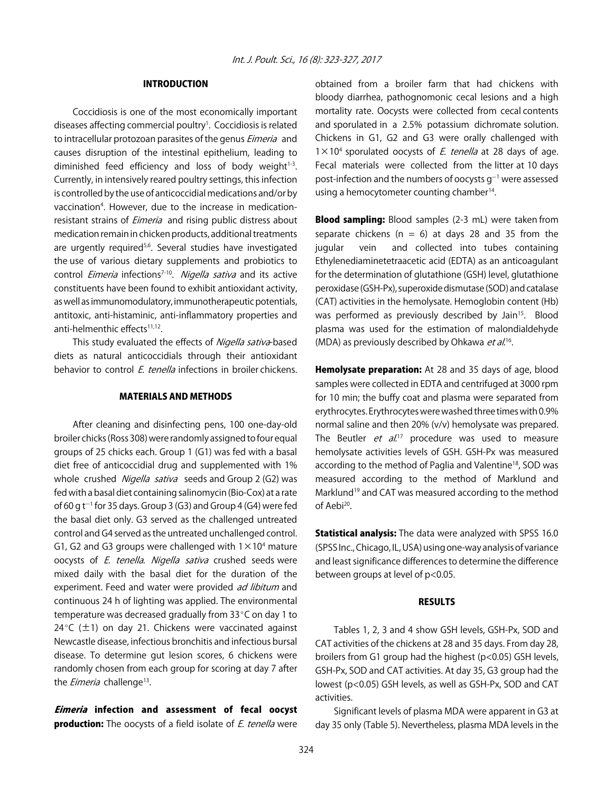### INTRODUCTION

Coccidiosis is one of the most economically important diseases affecting commercial poultry<sup>1</sup>. Coccidiosis is related to intracellular protozoan parasites of the genus *Eimeria* and causes disruption of the intestinal epithelium, leading to diminished feed efficiency and loss of body weight $1-3$ . Currently, in intensively reared poultry settings, this infection is controlled by the use of anticoccidial medications and/or by vaccination4 . However, due to the increase in medicationresistant strains of *Eimeria* and rising public distress about medication remain in chicken products, additional treatments are urgently required<sup>5,6</sup>. Several studies have investigated the use of various dietary supplements and probiotics to control *Eimeria* infections<sup>7-10</sup>. Nigella sativa and its active constituents have been found to exhibit antioxidant activity, as well as immunomodulatory, immunotherapeutic potentials, antitoxic, anti-histaminic, anti-inflammatory properties and anti-helmenthic effects<sup>11,12</sup>.

This study evaluated the effects of Nigella sativa-based diets as natural anticoccidials through their antioxidant behavior to control *E. tenella* infections in broiler chickens.

#### MATERIALS AND METHODS

After cleaning and disinfecting pens, 100 one-day-old broiler chicks (Ross 308) were randomly assigned to four equal groups of 25 chicks each. Group 1 (G1) was fed with a basal diet free of anticoccidial drug and supplemented with 1% whole crushed Nigella sativa seeds and Group 2 (G2) was fed with a basal diet containing salinomycin (Bio-Cox) at a rate of 60 g  $t^{-1}$  for 35 days. Group 3 (G3) and Group 4 (G4) were fed the basal diet only. G3 served as the challenged untreated control and G4 served as the untreated unchallenged control. G1, G2 and G3 groups were challenged with  $1 \times 10^4$  mature oocysts of *E. tenella. Nigella sativa* crushed seeds were mixed daily with the basal diet for the duration of the experiment. Feed and water were provided ad libitum and continuous 24 h of lighting was applied. The environmental temperature was decreased gradually from  $33^{\circ}$ C on day 1 to 24°C ( $\pm$ 1) on day 21. Chickens were vaccinated against Newcastle disease, infectious bronchitis and infectious bursal disease. To determine gut lesion scores, 6 chickens were randomly chosen from each group for scoring at day 7 after the *Eimeria* challenge<sup>13</sup>.

Eimeria infection and assessment of fecal oocyst **production:** The oocysts of a field isolate of *E. tenella* were

obtained from a broiler farm that had chickens with bloody diarrhea, pathognomonic cecal lesions and a high mortality rate. Oocysts were collected from cecal contents and sporulated in a 2.5% potassium dichromate solution. Chickens in G1, G2 and G3 were orally challenged with  $1 \times 10^4$  sporulated oocysts of *E. tenella* at 28 days of age. Fecal materials were collected from the litter at 10 days post-infection and the numbers of oocysts  $g^{-1}$  were assessed using a hemocytometer counting chamber<sup>14</sup>.

**Blood sampling:** Blood samples (2-3 mL) were taken from separate chickens ( $n = 6$ ) at days 28 and 35 from the jugular vein and collected into tubes containing Ethylenediaminetetraacetic acid (EDTA) as an anticoagulant for the determination of glutathione (GSH) level, glutathione peroxidase (GSH-Px), superoxide dismutase (SOD) and catalase (CAT) activities in the hemolysate. Hemoglobin content (Hb) was performed as previously described by Jain<sup>15</sup>. Blood plasma was used for the estimation of malondialdehyde (MDA) as previously described by Ohkawa et al.<sup>16</sup>.

**Hemolysate preparation:** At 28 and 35 days of age, blood samples were collected in EDTA and centrifuged at 3000 rpm for 10 min; the buffy coat and plasma were separated from erythrocytes. Erythrocytes were washed three times with 0.9% normal saline and then 20% (v/v) hemolysate was prepared. The Beutler *et al.*<sup>17</sup> procedure was used to measure hemolysate activities levels of GSH. GSH-Px was measured according to the method of Paglia and Valentine<sup>18</sup>, SOD was measured according to the method of Marklund and Marklund<sup>19</sup> and CAT was measured according to the method of Aebi20.

Statistical analysis: The data were analyzed with SPSS 16.0 (SPSS Inc., Chicago, IL, USA) using one-way analysis of variance and least significance differences to determine the difference between groups at level of p<0.05.

#### RESULTS

Tables 1, 2, 3 and 4 show GSH levels, GSH-Px, SOD and CAT activities of the chickens at 28 and 35 days. From day 28, broilers from G1 group had the highest (p<0.05) GSH levels, GSH-Px, SOD and CAT activities. At day 35, G3 group had the lowest (p<0.05) GSH levels, as well as GSH-Px, SOD and CAT activities.

Significant levels of plasma MDA were apparent in G3 at day 35 only (Table 5). Nevertheless, plasma MDA levels in the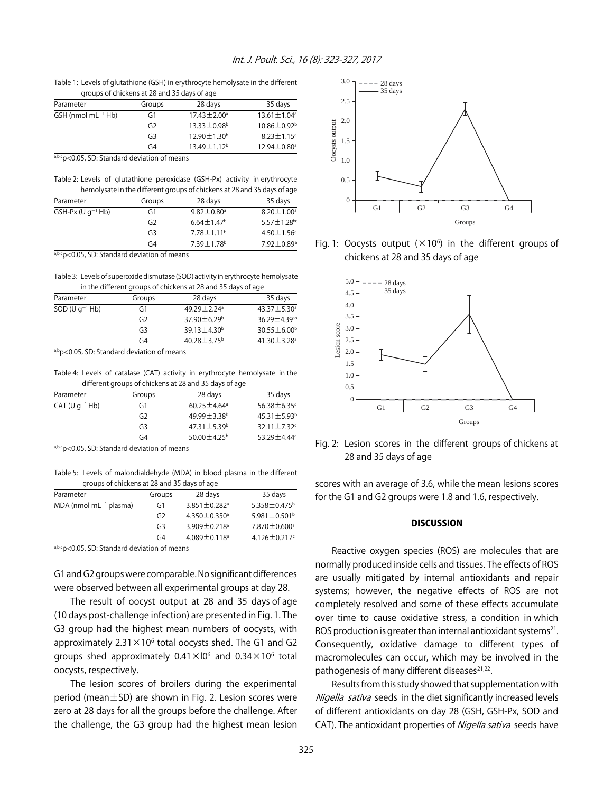Table 1: Levels of glutathione (GSH) in erythrocyte hemolysate in the different groups of chickens at 28 and 35 days of age

| Parameter                                    | Groups         | 28 days                   | 35 days                       |
|----------------------------------------------|----------------|---------------------------|-------------------------------|
| $GSH$ (nmol mL $^{-1}$ Hb)                   | G1             | $17.43 \pm 2.00^{\circ}$  | $13.61 \pm 1.04^a$            |
|                                              | G <sub>2</sub> | 13.33±0.98 <sup>b</sup>   | $10.86 \pm 0.92^{\rm b}$      |
|                                              | G <sub>3</sub> | $12.90 \pm 1.30^{\rm b}$  | $8.23 \pm 1.15$ <sup>c</sup>  |
|                                              | G <sub>4</sub> | 13.49 ± 1.12 <sup>b</sup> | $12.94 \pm 0.80$ <sup>a</sup> |
| a,b,cp<0.05, SD: Standard deviation of means |                |                           |                               |

Table 2: Levels of glutathione peroxidase (GSH-Px) activity in erythrocyte

| Groups         | 28 days                      | 35 days                                                                 |
|----------------|------------------------------|-------------------------------------------------------------------------|
| G1             | $9.82 \pm 0.80$ <sup>a</sup> | $8.20 \pm 1.00^{\circ}$                                                 |
| G <sub>2</sub> | $6.64 \pm 1.47$ <sup>b</sup> | $5.57 \pm 1.28$ bc                                                      |
| G <sub>3</sub> | $7.78 \pm 1.11$ <sup>b</sup> | $4.50 \pm 1.56$ <sup>c</sup>                                            |
| G <sub>4</sub> | 7.39±1.78 <sup>b</sup>       | 7.92±0.89 <sup>a</sup>                                                  |
|                |                              | hemolysate in the different groups of chickens at 28 and 35 days of age |

a,b,cp<0.05, SD: Standard deviation of means

Table 3: Levels of superoxide dismutase (SOD) activity in erythrocyte hemolysate in the different groups of chickens at 28 and 35 days of age

| Parameter           | Groups         | 28 days                     | 35 days                        |
|---------------------|----------------|-----------------------------|--------------------------------|
| $SOD (U q^{-1} Hb)$ | G1             | $49.29 + 2.24$ <sup>a</sup> | $43.37 \pm 5.30^a$             |
|                     | G <sub>2</sub> | $37.90 \pm 6.29^{\circ}$    | $36.29 \pm 4.39$ <sup>ab</sup> |
|                     | G <sub>3</sub> | $39.13 \pm 4.30^{\circ}$    | $30.55 \pm 6.00^{\circ}$       |
|                     | G4             | $40.28 \pm 3.75^{\circ}$    | $41.30 \pm 3.28$ <sup>a</sup>  |

a,bp<0.05, SD: Standard deviation of means

Table 4: Levels of catalase (CAT) activity in erythrocyte hemolysate in the different groups of chickens at 28 and 35 days of age

| Parameter           | Groups         | 28 days                       | 35 days                       |
|---------------------|----------------|-------------------------------|-------------------------------|
| $CAT (U q^{-1} Hb)$ | G1             | $60.25 \pm 4.64$ <sup>a</sup> | $56.38 \pm 6.35$ <sup>a</sup> |
|                     | G <sub>2</sub> | $49.99 \pm 3.38$ b            | $45.31 \pm 5.93$ <sup>b</sup> |
|                     | G <sub>3</sub> | $47.31 \pm 5.39^{\circ}$      | $32.11 \pm 7.32$ <sup>c</sup> |
|                     | G4             | 50.00 $\pm$ 4.25 <sup>b</sup> | 53.29 ± 4.44 <sup>a</sup>     |
|                     |                |                               |                               |

a,b,c<sub>p</sub><0.05, SD: Standard deviation of means

Table 5: Levels of malondialdehyde (MDA) in blood plasma in the different groups of chickens at 28 and 35 days of age

| Parameter                            | Groups         | 28 days                        | 35 days                        |
|--------------------------------------|----------------|--------------------------------|--------------------------------|
| $MDA$ (nmol mL <sup>-1</sup> plasma) | G1             | $3.851 \pm 0.282$ <sup>a</sup> | 5.358±0.475 <sup>b</sup>       |
|                                      | G <sub>2</sub> | $4.350 \pm 0.350$ <sup>a</sup> | 5.981 $\pm$ 0.501 <sup>b</sup> |
|                                      | G <sub>3</sub> | $3.909 \pm 0.218$ <sup>a</sup> | $7.870 \pm 0.600$ <sup>a</sup> |
|                                      | G4             | $4.089 \pm 0.118$ <sup>a</sup> | $4.126 \pm 0.217$ c            |

a,b,c<sub>p</sub><0.05, SD: Standard deviation of means

G1 and G2 groups were comparable. No significant differences were observed between all experimental groups at day 28.

The result of oocyst output at 28 and 35 days of age (10 days post-challenge infection) are presented in Fig. 1. The G3 group had the highest mean numbers of oocysts, with approximately  $2.31 \times 10^6$  total oocysts shed. The G1 and G2 groups shed approximately  $0.41 \times 10^6$  and  $0.34 \times 10^6$  total oocysts, respectively.

The lesion scores of broilers during the experimental period (mean±SD) are shown in Fig. 2. Lesion scores were zero at 28 days for all the groups before the challenge. After the challenge, the G3 group had the highest mean lesion



Fig. 1: Oocysts output  $(\times 10^6)$  in the different groups of chickens at 28 and 35 days of age



Fig. 2: Lesion scores in the different groups of chickens at 28 and 35 days of age

scores with an average of 3.6, while the mean lesions scores for the G1 and G2 groups were 1.8 and 1.6, respectively.

#### **DISCUSSION**

Reactive oxygen species (ROS) are molecules that are normally produced inside cells and tissues. The effects of ROS are usually mitigated by internal antioxidants and repair systems; however, the negative effects of ROS are not completely resolved and some of these effects accumulate over time to cause oxidative stress, a condition in which ROS production is greater than internal antioxidant systems<sup>21</sup>. Consequently, oxidative damage to different types of macromolecules can occur, which may be involved in the pathogenesis of many different diseases<sup>21,22</sup>.

Results from this study showed that supplementation with Nigella sativa seeds in the diet significantly increased levels of different antioxidants on day 28 (GSH, GSH-Px, SOD and CAT). The antioxidant properties of Nigella sativa seeds have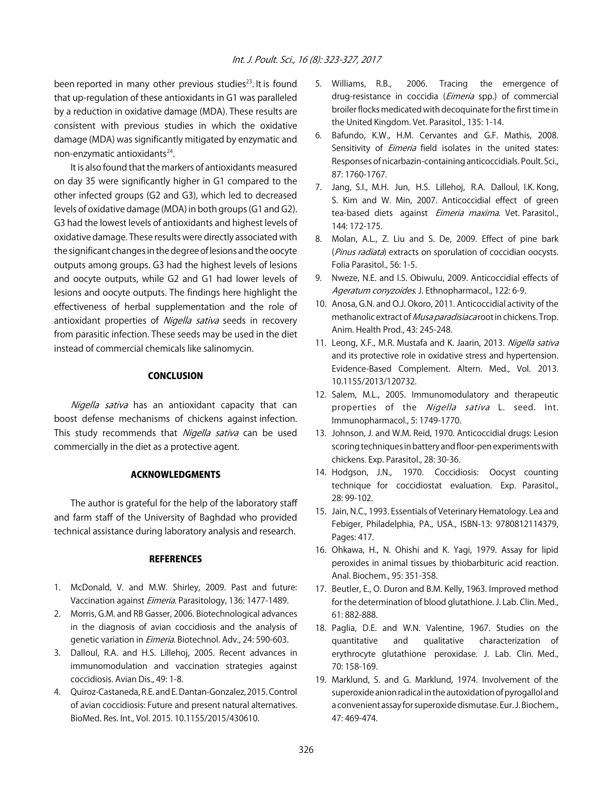been reported in many other previous studies $^{23}$ . It is found that up-regulation of these antioxidants in G1 was paralleled by a reduction in oxidative damage (MDA). These results are consistent with previous studies in which the oxidative damage (MDA) was significantly mitigated by enzymatic and non-enzymatic antioxidants<sup>24</sup>.

It is also found that the markers of antioxidants measured on day 35 were significantly higher in G1 compared to the other infected groups (G2 and G3), which led to decreased levels of oxidative damage (MDA) in both groups (G1 and G2). G3 had the lowest levels of antioxidants and highest levels of oxidative damage. These results were directly associated with the significant changes in the degree of lesions and the oocyte outputs among groups. G3 had the highest levels of lesions and oocyte outputs, while G2 and G1 had lower levels of lesions and oocyte outputs. The findings here highlight the effectiveness of herbal supplementation and the role of antioxidant properties of Nigella sativa seeds in recovery from parasitic infection. These seeds may be used in the diet instead of commercial chemicals like salinomycin.

#### **CONCLUSION**

Nigella sativa has an antioxidant capacity that can boost defense mechanisms of chickens against infection. This study recommends that Nigella sativa can be used commercially in the diet as a protective agent.

#### ACKNOWLEDGMENTS

The author is grateful for the help of the laboratory staff and farm staff of the University of Baghdad who provided technical assistance during laboratory analysis and research.

#### **REFERENCES**

- 1. McDonald, V. and M.W. Shirley, 2009. Past and future: Vaccination against Eimeria. Parasitology, 136: 1477-1489.
- 2. Morris, G.M. and RB Gasser, 2006. Biotechnological advances in the diagnosis of avian coccidiosis and the analysis of genetic variation in *Eimeria*. Biotechnol. Adv., 24: 590-603.
- 3. Dalloul, R.A. and H.S. Lillehoj, 2005. Recent advances in immunomodulation and vaccination strategies against coccidiosis. Avian Dis., 49: 1-8.
- 4. Quiroz-Castaneda, R.E. and E. Dantan-Gonzalez, 2015. Control of avian coccidiosis: Future and present natural alternatives. BioMed. Res. Int., Vol. 2015. 10.1155/2015/430610.
- 5. Williams, R.B., 2006. Tracing the emergence of drug-resistance in coccidia (*Eimeria* spp.) of commercial broiler flocks medicated with decoquinate for the first time in the United Kingdom. Vet. Parasitol., 135: 1-14.
- 6. Bafundo, K.W., H.M. Cervantes and G.F. Mathis, 2008. Sensitivity of *Eimeria* field isolates in the united states: Responses of nicarbazin-containing anticoccidials. Poult. Sci., 87: 1760-1767.
- 7. Jang, S.I., M.H. Jun, H.S. Lillehoj, R.A. Dalloul, I.K. Kong, S. Kim and W. Min, 2007. Anticoccidial effect of green tea-based diets against Eimeria maxima. Vet. Parasitol., 144: 172-175.
- 8. Molan, A.L., Z. Liu and S. De, 2009. Effect of pine bark (Pinus radiata) extracts on sporulation of coccidian oocysts. Folia Parasitol., 56: 1-5.
- 9. Nweze, N.E. and I.S. Obiwulu, 2009. Anticoccidial effects of Ageratum conyzoides. J. Ethnopharmacol., 122: 6-9.
- 10. Anosa, G.N. and O.J. Okoro, 2011. Anticoccidial activity of the methanolic extract of *Musa paradisiaca* root in chickens. Trop. Anim. Health Prod., 43: 245-248.
- 11. Leong, X.F., M.R. Mustafa and K. Jaarin, 2013. Nigella sativa and its protective role in oxidative stress and hypertension. Evidence-Based Complement. Altern. Med., Vol. 2013. 10.1155/2013/120732.
- 12. Salem, M.L., 2005. Immunomodulatory and therapeutic properties of the Nigella sativa L. seed. Int. Immunopharmacol., 5: 1749-1770.
- 13. Johnson, J. and W.M. Reid, 1970. Anticoccidial drugs: Lesion scoring techniques in battery and floor-pen experiments with chickens. Exp. Parasitol., 28: 30-36.
- 14. Hodgson, J.N., 1970. Coccidiosis: Oocyst counting technique for coccidiostat evaluation. Exp. Parasitol., 28: 99-102.
- 15. Jain, N.C., 1993. Essentials of Veterinary Hematology. Lea and Febiger, Philadelphia, PA., USA., ISBN-13: 9780812114379, Pages: 417.
- 16. Ohkawa, H., N. Ohishi and K. Yagi, 1979. Assay for lipid peroxides in animal tissues by thiobarbituric acid reaction. Anal. Biochem., 95: 351-358.
- 17. Beutler, E., O. Duron and B.M. Kelly, 1963. Improved method for the determination of blood glutathione. J. Lab. Clin. Med., 61: 882-888.
- 18. Paglia, D.E. and W.N. Valentine, 1967. Studies on the quantitative and qualitative characterization of erythrocyte glutathione peroxidase. J. Lab. Clin. Med., 70: 158-169.
- 19. Marklund, S. and G. Marklund, 1974. Involvement of the superoxide anion radical in the autoxidation of pyrogallol and a convenient assay for superoxide dismutase. Eur. J. Biochem., 47: 469-474.